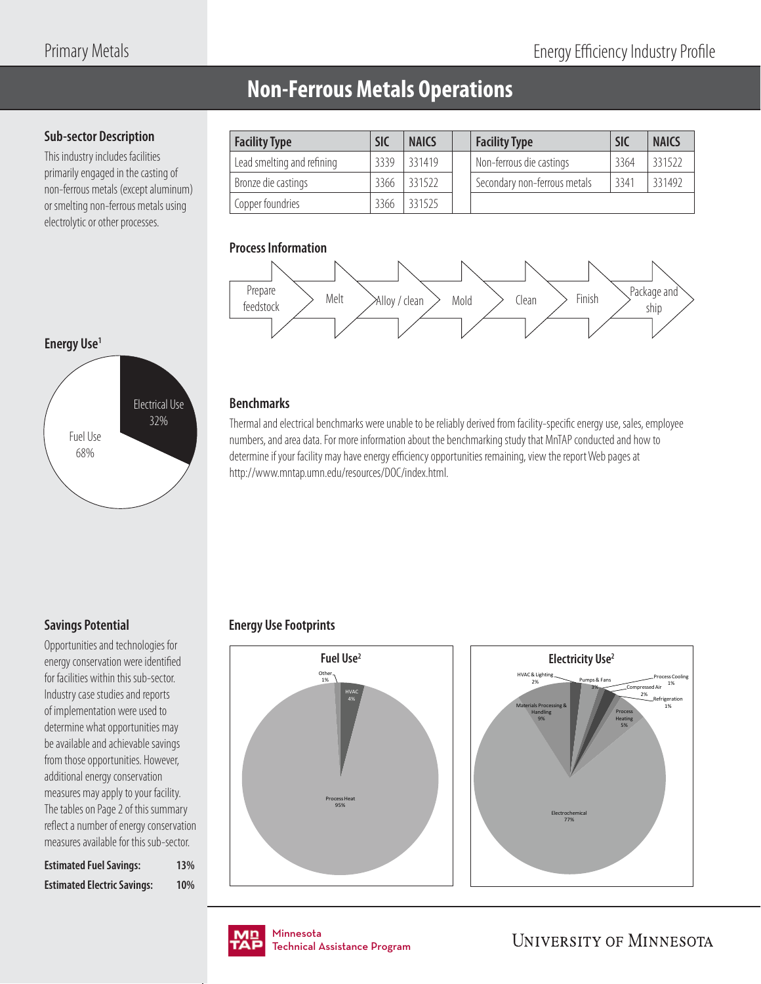## **Non-Ferrous Metals Operations**

## **Sub-sector Description**

This industry includes facilities primarily engaged in the casting of non-ferrous metals (except aluminum) or smelting non-ferrous metals using electrolytic or other processes.

| <b>Facility Type</b>       | <b>SIC</b> | <b>NAICS</b> | <b>Facility Type</b>         | <b>SIC</b> | <b>NAICS</b> |
|----------------------------|------------|--------------|------------------------------|------------|--------------|
| Lead smelting and refining | 3339       | 331419       | Non-ferrous die castings     | 3364       | 331522       |
| Bronze die castings        | 3366       | 331522       | Secondary non-ferrous metals | 3341       | 331492       |
| Copper foundries           | 3366       | 331525       |                              |            |              |

## **Process Information**



## **Energy Use1**



### **Benchmarks**

Thermal and electrical benchmarks were unable to be reliably derived from facility-specific energy use, sales, employee numbers, and area data. For more information about the benchmarking study that MnTAP conducted and how to determine if your facility may have energy efficiency opportunities remaining, view the report Web pages at http://www.mntap.umn.edu/resources/DOC/index.html.

## **Savings Potential**

Opportunities and technologies for energy conservation were identified for facilities within this sub-sector. Industry case studies and reports of implementation were used to determine what opportunities may be available and achievable savings from those opportunities. However, additional energy conservation measures may apply to your facility. The tables on Page 2 of this summary reflect a number of energy conservation measures available for this sub-sector.

| <b>Estimated Fuel Savings:</b>     | 13% |
|------------------------------------|-----|
| <b>Estimated Electric Savings:</b> | 10% |

## **Energy Use Footprints**







nmesota<br>:chnical Assis Technical Assistance Program .<br>Tochnical / Technical Assistance Program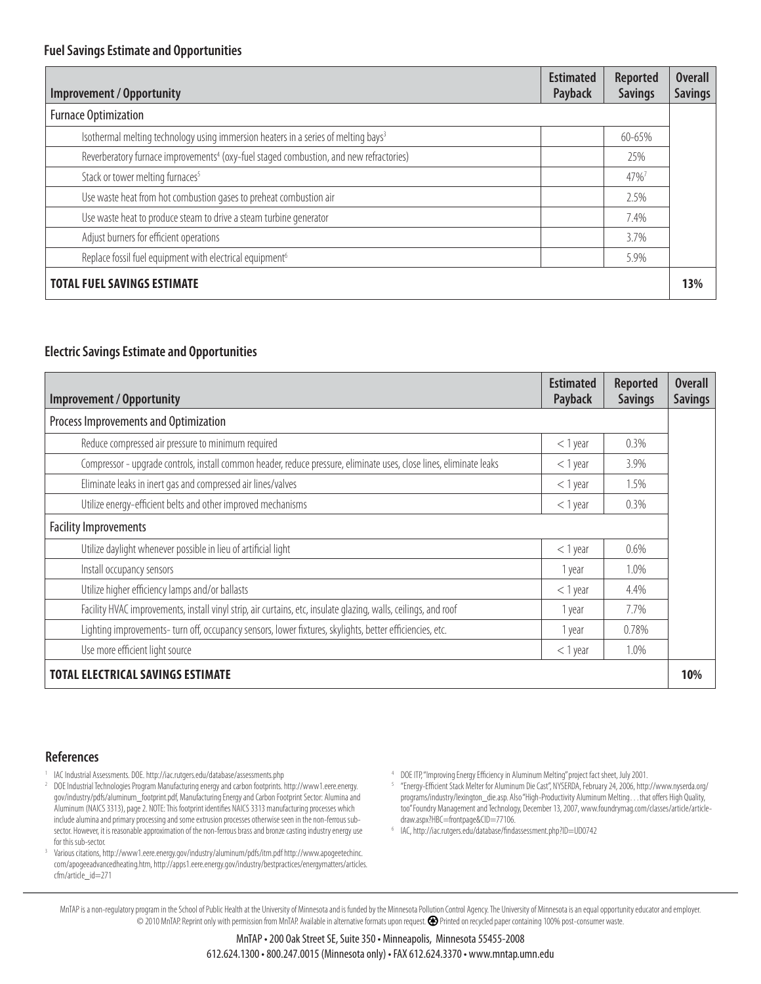| <b>Improvement / Opportunity</b>                                                                   | <b>Estimated</b><br>Payback | <b>Reported</b><br><b>Savings</b> | <b>Overall</b><br><b>Savings</b> |
|----------------------------------------------------------------------------------------------------|-----------------------------|-----------------------------------|----------------------------------|
| <b>Furnace Optimization</b>                                                                        |                             |                                   |                                  |
| Isothermal melting technology using immersion heaters in a series of melting bays <sup>3</sup>     |                             | 60-65%                            |                                  |
| Reverberatory furnace improvements <sup>4</sup> (oxy-fuel staged combustion, and new refractories) |                             | 25%                               |                                  |
| Stack or tower melting furnaces <sup>5</sup>                                                       |                             | 47%                               |                                  |
| Use waste heat from hot combustion gases to preheat combustion air                                 |                             | 2.5%                              |                                  |
| Use waste heat to produce steam to drive a steam turbine generator                                 |                             | 7.4%                              |                                  |
| Adjust burners for efficient operations                                                            |                             | 3.7%                              |                                  |
| Replace fossil fuel equipment with electrical equipment <sup>6</sup>                               |                             | 5.9%                              |                                  |
| <b>TOTAL FUEL SAVINGS ESTIMATE</b>                                                                 |                             |                                   | 13%                              |

### **Electric Savings Estimate and Opportunities**

| <b>Improvement / Opportunity</b>                                                                                    | <b>Estimated</b><br>Payback | <b>Reported</b><br><b>Savings</b> | <b>Overall</b><br><b>Savings</b> |
|---------------------------------------------------------------------------------------------------------------------|-----------------------------|-----------------------------------|----------------------------------|
| Process Improvements and Optimization                                                                               |                             |                                   |                                  |
| Reduce compressed air pressure to minimum required                                                                  | $<$ 1 year                  | 0.3%                              |                                  |
| Compressor - upgrade controls, install common header, reduce pressure, eliminate uses, close lines, eliminate leaks | $<$ 1 year                  | 3.9%                              |                                  |
| Eliminate leaks in inert gas and compressed air lines/valves                                                        | $<$ 1 year                  | 1.5%                              |                                  |
| Utilize energy-efficient belts and other improved mechanisms                                                        | $<$ 1 year                  | $0.3\%$                           |                                  |
| <b>Facility Improvements</b>                                                                                        |                             |                                   |                                  |
| Utilize daylight whenever possible in lieu of artificial light                                                      | $<$ 1 year                  | 0.6%                              |                                  |
| Install occupancy sensors                                                                                           | 1 year                      | 1.0%                              |                                  |
| Utilize higher efficiency lamps and/or ballasts                                                                     | $<$ 1 year                  | 4.4%                              |                                  |
| Facility HVAC improvements, install vinyl strip, air curtains, etc, insulate glazing, walls, ceilings, and roof     | 1 year                      | 7.7%                              |                                  |
| Lighting improvements- turn off, occupancy sensors, lower fixtures, skylights, better efficiencies, etc.            | 1 year                      | 0.78%                             |                                  |
| Use more efficient light source                                                                                     | $<$ 1 year                  | 1.0%                              |                                  |
| <b>TOTAL ELECTRICAL SAVINGS ESTIMATE</b>                                                                            |                             |                                   | 10%                              |

### **References**

- IAC Industrial Assessments. DOE. http://iac.rutgers.edu/database/assessments.php
- 2 DOE Industrial Technologies Program Manufacturing energy and carbon footprints. http://www1.eere.energy. gov/industry/pdfs/aluminum\_footprint.pdf, Manufacturing Energy and Carbon Footprint Sector: Alumina and Aluminum (NAICS 3313), page 2. NOTE: This footprint identifies NAICS 3313 manufacturing processes which include alumina and primary processing and some extrusion processes otherwise seen in the non-ferrous subsector. However, it is reasonable approximation of the non-ferrous brass and bronze casting industry energy use for this sub-sector.
- 3 Various citations, http://www1.eere.energy.gov/industry/aluminum/pdfs/itm.pdf http://www.apogeetechinc. com/apogeeadvancedheating.htm, http://apps1.eere.energy.gov/industry/bestpractices/energymatters/articles. cfm/article\_id=271

DOE ITP, "Improving Energy Efficiency in Aluminum Melting" project fact sheet, July 2001.

<sup>5</sup> "Energy-Efficient Stack Melter for Aluminum Die Cast", NYSERDA, February 24, 2006, http://www.nyserda.org/ programs/industry/lexington\_die.asp. Also "High-Productivity Aluminum Melting... that offers High Quality, too" Foundry Management and Technology, December 13, 2007, www.foundrymag.com/classes/article/articledraw.aspx?HBC=frontpage&CID=77106.

<sup>6</sup> IAC, http://iac.rutgers.edu/database/findassessment.php?ID=UD0742

MnTAP is a non-regulatory program in the School of Public Health at the University of Minnesota and is funded by the Minnesota Pollution Control Agency. The University of Minnesota is an equal opportunity educator and empl © 2010 MnTAP. Reprint only with permission from MnTAP. Available in alternative formats upon request. Printed on recycled paper containing 100% post-consumer waste.

4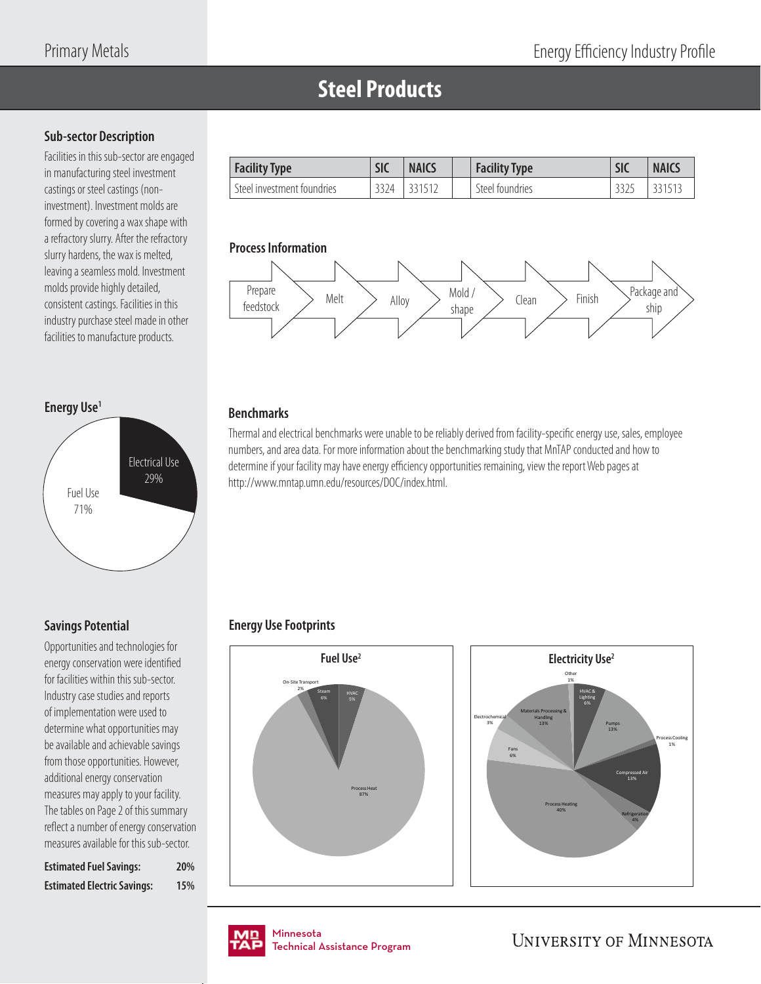# **Steel Products**

## **Sub-sector Description**

Facilities in this sub-sector are engaged in manufacturing steel investment castings or steel castings (noninvestment). Investment molds are formed by covering a wax shape with a refractory slurry. After the refractory slurry hardens, the wax is melted, leaving a seamless mold. Investment molds provide highly detailed, consistent castings. Facilities in this industry purchase steel made in other facilities to manufacture products.

#### **Energy Use1**



## **Savings Potential**

Opportunities and technologies for energy conservation were identified for facilities within this sub-sector. Industry case studies and reports of implementation were used to determine what opportunities may be available and achievable savings from those opportunities. However, additional energy conservation measures may apply to your facility. The tables on Page 2 of this summary reflect a number of energy conservation measures available for this sub-sector.

| <b>Estimated Fuel Savings:</b>     | 20% |
|------------------------------------|-----|
| <b>Estimated Electric Savings:</b> | 15% |

| <b>Facility Type</b>       | <b>SIC</b> | <b>NAICS</b> | <b>Facility Type</b> | <b>SIC</b> | <b>NAICS</b> |
|----------------------------|------------|--------------|----------------------|------------|--------------|
| Steel investment foundries | 3324       | 331512       | Steel foundries      |            |              |

#### **Process Information**



## **Benchmarks**

Thermal and electrical benchmarks were unable to be reliably derived from facility-specific energy use, sales, employee numbers, and area data. For more information about the benchmarking study that MnTAP conducted and how to determine if your facility may have energy efficiency opportunities remaining, view the report Web pages at http://www.mntap.umn.edu/resources/DOC/index.html.

## **Energy Use Footprints**







nmesota<br>:chnical Assis Technical Assistance Program Technical Assistance Program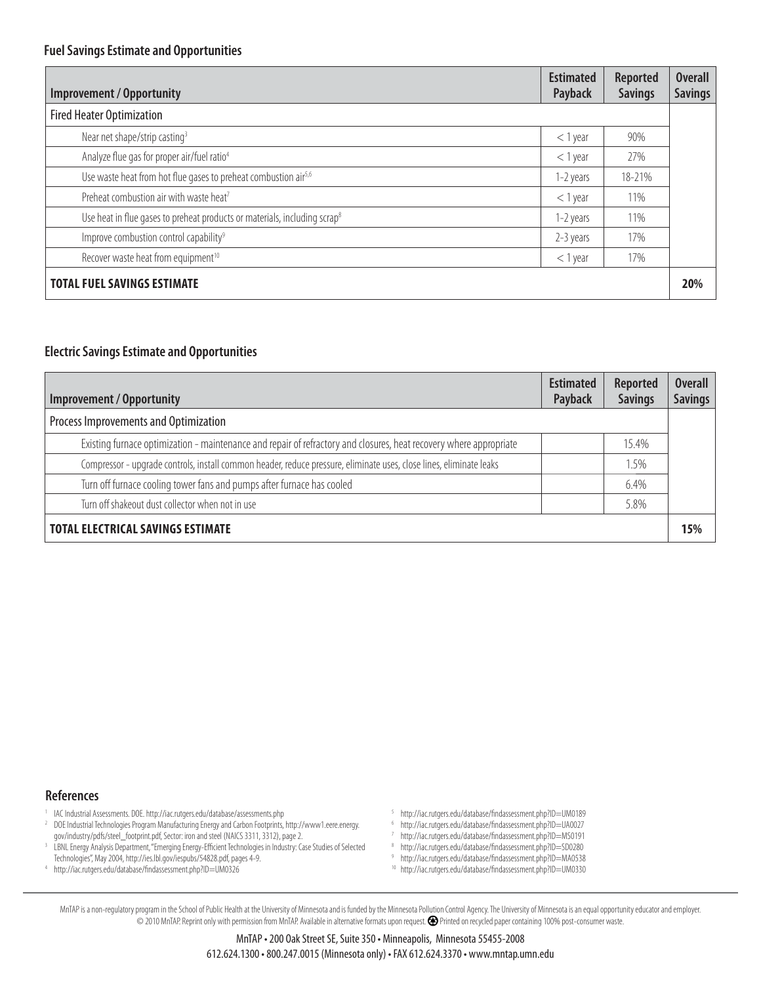| <b>Improvement / Opportunity</b>                                                      | <b>Estimated</b><br>Payback | <b>Reported</b><br><b>Savings</b> | <b>Overall</b><br><b>Savings</b> |
|---------------------------------------------------------------------------------------|-----------------------------|-----------------------------------|----------------------------------|
| <b>Fired Heater Optimization</b>                                                      |                             |                                   |                                  |
| Near net shape/strip casting <sup>3</sup>                                             | $<$ 1 year                  | 90%                               |                                  |
| Analyze flue gas for proper air/fuel ratio <sup>4</sup>                               | $<$ 1 year                  | 27%                               |                                  |
| Use waste heat from hot flue gases to preheat combustion air <sup>5,6</sup>           | 1-2 years                   | 18-21%                            |                                  |
| Preheat combustion air with waste heat <sup>7</sup>                                   | $<$ 1 year                  | 11%                               |                                  |
| Use heat in flue gases to preheat products or materials, including scrap <sup>8</sup> | 1-2 years                   | 11%                               |                                  |
| Improve combustion control capability <sup>9</sup>                                    | 2-3 years                   | 17%                               |                                  |
| Recover waste heat from equipment <sup>10</sup>                                       | $<$ 1 year                  | 17%                               |                                  |
| <b>TOTAL FUEL SAVINGS ESTIMATE</b>                                                    |                             |                                   | 20%                              |

### **Electric Savings Estimate and Opportunities**

| Improvement / Opportunity                                                                                           | <b>Estimated</b><br>Payback | Reported<br><b>Savings</b> | <b>Overall</b><br><b>Savings</b> |
|---------------------------------------------------------------------------------------------------------------------|-----------------------------|----------------------------|----------------------------------|
| Process Improvements and Optimization                                                                               |                             |                            |                                  |
| Existing furnace optimization - maintenance and repair of refractory and closures, heat recovery where appropriate  |                             | 15.4%                      |                                  |
| Compressor - upgrade controls, install common header, reduce pressure, eliminate uses, close lines, eliminate leaks |                             | 1.5%                       |                                  |
| Turn off furnace cooling tower fans and pumps after furnace has cooled                                              |                             | 6.4%                       |                                  |
| Turn off shakeout dust collector when not in use                                                                    |                             | 5.8%                       |                                  |
| <b>TOTAL ELECTRICAL SAVINGS ESTIMATE</b>                                                                            |                             |                            | 15%                              |

#### **References**

- 1 IAC Industrial Assessments. DOE. http://iac.rutgers.edu/database/assessments.php
- 2 DOE Industrial Technologies Program Manufacturing Energy and Carbon Footprints, http://www1.eere.energy. gov/industry/pdfs/steel\_footprint.pdf, Sector: iron and steel (NAICS 3311, 3312), page 2.
- 3 LBNL Energy Analysis Department, "Emerging Energy-Efficient Technologies in Industry: Case Studies of Selected Technologies", May 2004, http://ies.lbl.gov/iespubs/54828.pdf, pages 4-9. 4
- http://iac.rutgers.edu/database/fi ndassessment.php?ID=UM0326
- <sup>5</sup> http://iac.rutgers.edu/database/findassessment.php?ID=UM0189
- <sup>6</sup> http://iac.rutgers.edu/database/findassessment.php?ID=UA0027
- <sup>7</sup> http://iac.rutgers.edu/database/findassessment.php?ID=MS0191
- <sup>8</sup> http://iac.rutgers.edu/database/findassessment.php?ID=SD0280
- <sup>9</sup> http://iac.rutgers.edu/database/findassessment.php?ID=MA0538
- 10 http://iac.rutgers.edu/database/findassessment.php?ID=UM0330

MnTAP is a non-regulatory program in the School of Public Health at the University of Minnesota and is funded by the Minnesota Pollution Control Agency. The University of Minnesota is an equal opportunity educator and empl © 2010 MnTAP. Reprint only with permission from MnTAP. Available in alternative formats upon request. Printed on recycled paper containing 100% post-consumer waste.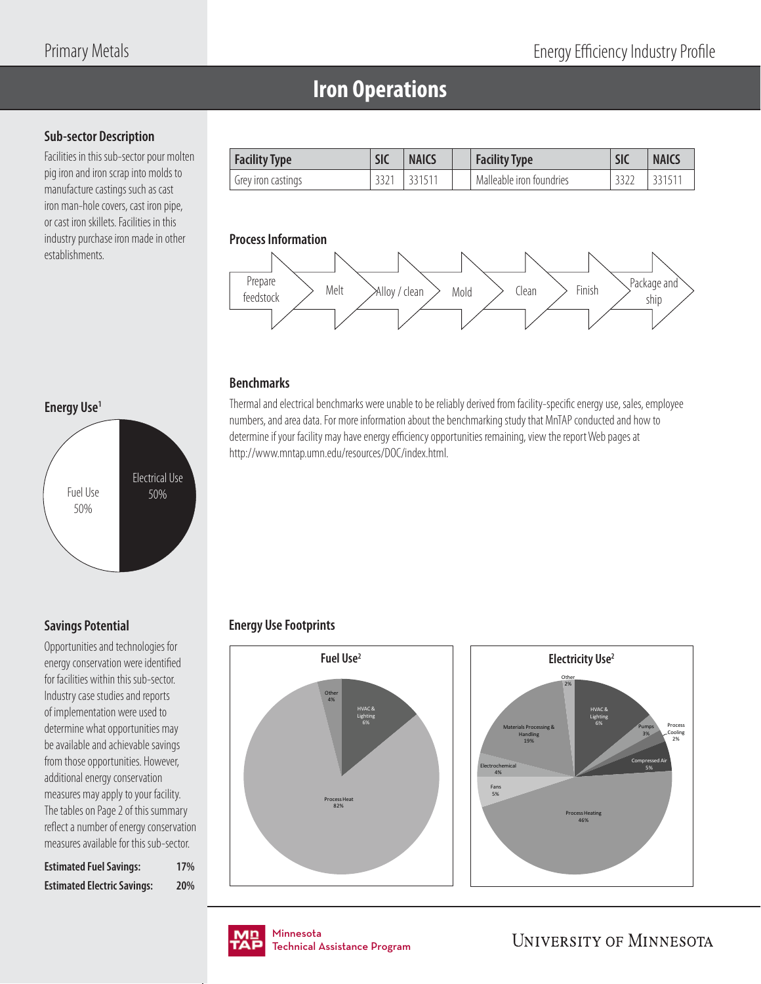## **Iron Operations**

## **Sub-sector Description**

Facilities in this sub-sector pour molten pig iron and iron scrap into molds to manufacture castings such as cast iron man-hole covers, cast iron pipe, or cast iron skillets. Facilities in this industry purchase iron made in other establishments.

| <b>Facility Type</b> | SIC | <b>NAICS</b> | <b>Facility Type</b>     | <b>SIC</b> | <b>NAICS</b> |
|----------------------|-----|--------------|--------------------------|------------|--------------|
| Grey iron castings   |     | 33151        | Malleable iron foundries |            | 33151        |

## **Process Information**



## **Benchmarks**

Thermal and electrical benchmarks were unable to be reliably derived from facility-specific energy use, sales, employee numbers, and area data. For more information about the benchmarking study that MnTAP conducted and how to determine if your facility may have energy efficiency opportunities remaining, view the report Web pages at http://www.mntap.umn.edu/resources/DOC/index.html.

## **Energy Use Footprints**





# Fuel Use 50% Electrical Use 50%

**Energy Use1**

## **Savings Potential**

Opportunities and technologies for energy conservation were identified for facilities within this sub-sector. Industry case studies and reports of implementation were used to determine what opportunities may be available and achievable savings from those opportunities. However, additional energy conservation measures may apply to your facility. The tables on Page 2 of this summary reflect a number of energy conservation measures available for this sub-sector.

| <b>Estimated Fuel Savings:</b>     | 17% |
|------------------------------------|-----|
| <b>Estimated Electric Savings:</b> | 20% |

Minnesota Minnesota Technical Assistance Program Technical Assistance Program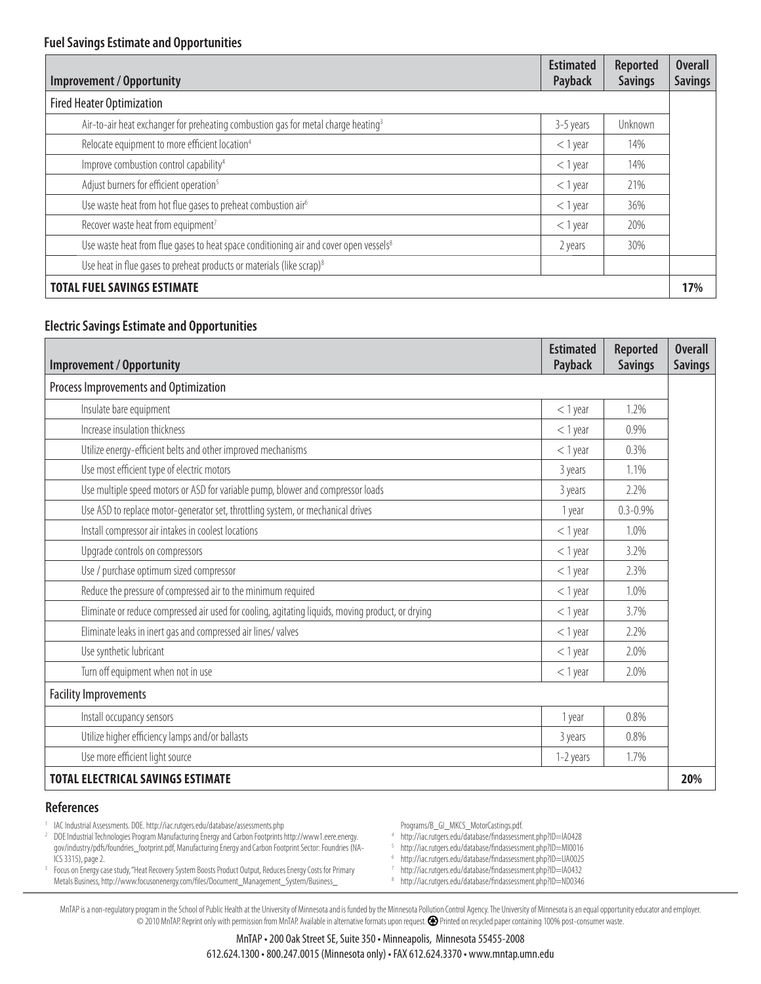| Improvement / Opportunity                                                                         | <b>Estimated</b><br>Payback | <b>Reported</b><br><b>Savings</b> | <b>Overall</b><br><b>Savings</b> |
|---------------------------------------------------------------------------------------------------|-----------------------------|-----------------------------------|----------------------------------|
| <b>Fired Heater Optimization</b>                                                                  |                             |                                   |                                  |
| Air-to-air heat exchanger for preheating combustion gas for metal charge heating <sup>3</sup>     | 3-5 years                   | Unknown                           |                                  |
| Relocate equipment to more efficient location <sup>4</sup>                                        | $<$ 1 year                  | 14%                               |                                  |
| Improve combustion control capability <sup>4</sup>                                                | $<$ 1 year                  | 14%                               |                                  |
| Adjust burners for efficient operation <sup>5</sup>                                               | $<$ 1 year                  | 21%                               |                                  |
| Use waste heat from hot flue gases to preheat combustion air <sup>6</sup>                         | $<$ 1 year                  | 36%                               |                                  |
| Recover waste heat from equipment <sup>7</sup>                                                    | $<$ 1 year                  | 20%                               |                                  |
| Use waste heat from flue gases to heat space conditioning air and cover open vessels <sup>8</sup> | 2 years                     | 30%                               |                                  |
| Use heat in flue gases to preheat products or materials (like scrap) <sup>8</sup>                 |                             |                                   |                                  |
| <b>TOTAL FUEL SAVINGS ESTIMATE</b>                                                                |                             |                                   | 17%                              |

### **Electric Savings Estimate and Opportunities**

| <b>Improvement / Opportunity</b>                                                                  | <b>Estimated</b><br>Payback | <b>Reported</b><br><b>Savings</b> | <b>Overall</b><br><b>Savings</b> |
|---------------------------------------------------------------------------------------------------|-----------------------------|-----------------------------------|----------------------------------|
| Process Improvements and Optimization                                                             |                             |                                   |                                  |
| Insulate bare equipment                                                                           | $<$ 1 year                  | 1.2%                              |                                  |
| Increase insulation thickness                                                                     | $<$ 1 year                  | 0.9%                              |                                  |
| Utilize energy-efficient belts and other improved mechanisms                                      | $<$ 1 year                  | 0.3%                              |                                  |
| Use most efficient type of electric motors                                                        | 3 years                     | 1.1%                              |                                  |
| Use multiple speed motors or ASD for variable pump, blower and compressor loads                   | 3 years                     | 2.2%                              |                                  |
| Use ASD to replace motor-generator set, throttling system, or mechanical drives                   | 1 year                      | $0.3 - 0.9%$                      |                                  |
| Install compressor air intakes in coolest locations                                               | $<$ 1 year                  | 1.0%                              |                                  |
| Upgrade controls on compressors                                                                   | $<$ 1 year                  | 3.2%                              |                                  |
| Use / purchase optimum sized compressor                                                           | $<$ 1 year                  | 2.3%                              |                                  |
| Reduce the pressure of compressed air to the minimum required                                     | $<$ 1 year                  | 1.0%                              |                                  |
| Eliminate or reduce compressed air used for cooling, agitating liquids, moving product, or drying | $<$ 1 year                  | 3.7%                              |                                  |
| Eliminate leaks in inert gas and compressed air lines/ valves                                     | $<$ 1 year                  | 2.2%                              |                                  |
| Use synthetic lubricant                                                                           | $<$ 1 year                  | 2.0%                              |                                  |
| Turn off equipment when not in use                                                                | $<$ 1 year                  | 2.0%                              |                                  |
| <b>Facility Improvements</b>                                                                      |                             |                                   |                                  |
| Install occupancy sensors                                                                         | 1 year                      | 0.8%                              |                                  |
| Utilize higher efficiency lamps and/or ballasts                                                   | 3 years                     | 0.8%                              |                                  |
| Use more efficient light source                                                                   | 1-2 years                   | 1.7%                              |                                  |
| <b>TOTAL ELECTRICAL SAVINGS ESTIMATE</b>                                                          |                             |                                   | 20%                              |

#### **References**

1 IAC Industrial Assessments. DOE. http://iac.rutgers.edu/database/assessments.php

<sup>2</sup> DOE Industrial Technologies Program Manufacturing Energy and Carbon Footprints http://www1.eere.energy. gov/industry/pdfs/foundries\_footprint.pdf, Manufacturing Energy and Carbon Footprint Sector: Foundries (NA-ICS 3315), page 2.

<sup>3</sup> Focus on Energy case study, "Heat Recovery System Boosts Product Output, Reduces Energy Costs for Primary Metals Business, http://www.focusonenergy.com/fi les/Document\_Management\_System/Business\_

Programs/B\_GI\_MKCS\_MotorCastings.pdf.

4 http://iac.rutgers.edu/database/fi ndassessment.php?ID=IA0428

<sup>5</sup> http://iac.rutgers.edu/database/findassessment.php?ID=MI0016

<sup>6</sup> http://iac.rutgers.edu/database/findassessment.php?ID=UA0025

<sup>7</sup> http://iac.rutgers.edu/database/findassessment.php?ID=IA0432

<sup>8</sup> http://iac.rutgers.edu/database/findassessment.php?ID=ND0346

MnTAP is a non-regulatory program in the School of Public Health at the University of Minnesota and is funded by the Minnesota Pollution Control Agency. The University of Minnesota is an equal opportunity educator and empl © 2010 MnTAP. Reprint only with permission from MnTAP. Available in alternative formats upon request. Printed on recycled paper containing 100% post-consumer waste.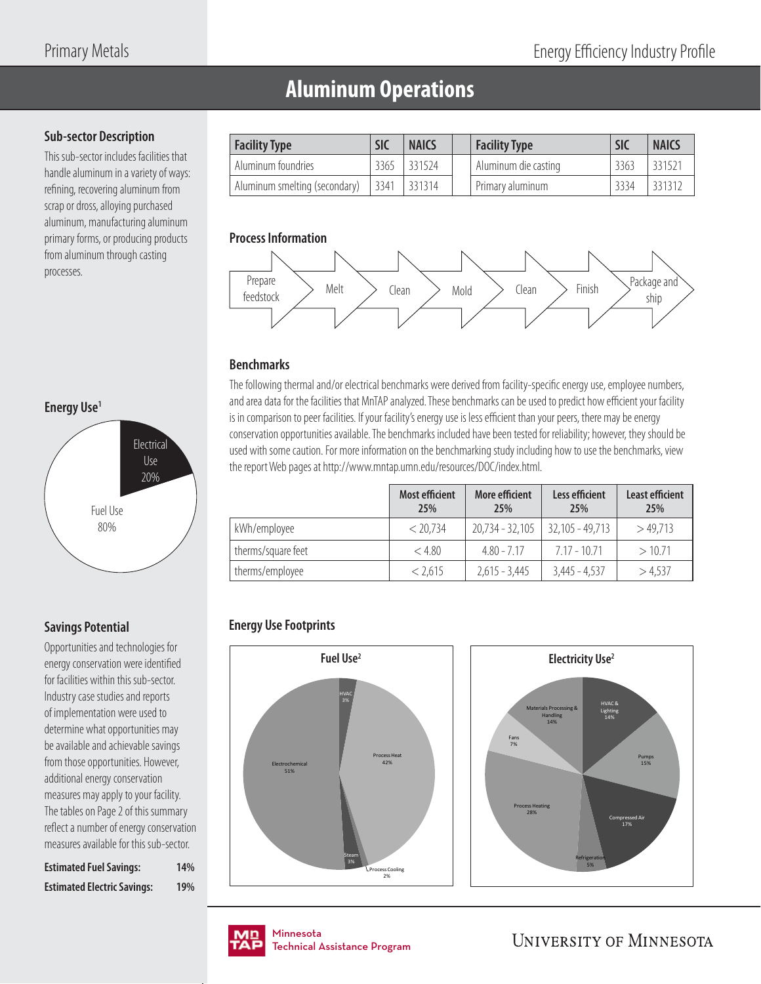# **Aluminum Operations**

## **Sub-sector Description**

This sub-sector includes facilities that handle aluminum in a variety of ways: refining, recovering aluminum from scrap or dross, alloying purchased aluminum, manufacturing aluminum primary forms, or producing products from aluminum through casting processes.



## **Savings Potential**

Opportunities and technologies for energy conservation were identified for facilities within this sub-sector. Industry case studies and reports of implementation were used to determine what opportunities may be available and achievable savings from those opportunities. However, additional energy conservation measures may apply to your facility. The tables on Page 2 of this summary reflect a number of energy conservation measures available for this sub-sector.

| <b>Estimated Fuel Savings:</b>     | 14% |
|------------------------------------|-----|
| <b>Estimated Electric Savings:</b> | 19% |

| <b>Facility Type</b>          | <b>SIC</b> | <b>NAICS</b> | <b>Facility Type</b> | <b>SIC</b> | <b>NAICS</b> |
|-------------------------------|------------|--------------|----------------------|------------|--------------|
| Aluminum foundries            | 3365       | 331524       | Aluminum die casting | 3363       | 331521       |
| Aluminum smelting (secondary) | 3341       | 331314       | Primary aluminum     | 3334       | 331312       |

#### **Process Information**



## **Benchmarks**

The following thermal and/or electrical benchmarks were derived from facility-specific energy use, employee numbers, and area data for the facilities that MnTAP analyzed. These benchmarks can be used to predict how efficient your facility is in comparison to peer facilities. If your facility's energy use is less efficient than your peers, there may be energy conservation opportunities available. The benchmarks included have been tested for reliability; however, they should be used with some caution. For more information on the benchmarking study including how to use the benchmarks, view the report Web pages at http://www.mntap.umn.edu/resources/DOC/index.html.

|                    | <b>Most efficient</b><br>25% | More efficient<br>25% | Less efficient<br>25% | Least efficient<br>25% |
|--------------------|------------------------------|-----------------------|-----------------------|------------------------|
| kWh/employee       | < 20.734                     | $20,734 - 32,105$     | $32,105 - 49,713$     | >49.713                |
| therms/square feet | < 4.80                       | $4.80 - 7.17$         | $7.17 - 10.71$        | >10.71                 |
| therms/employee    | < 2.615                      | $2,615 - 3,445$       | $3,445 - 4,537$       | >4,537                 |

## **Energy Use Footprints**







nmesota<br>:chnical Assis Technical Assistance Program .<br>Tochnical / Technical Assistance Program